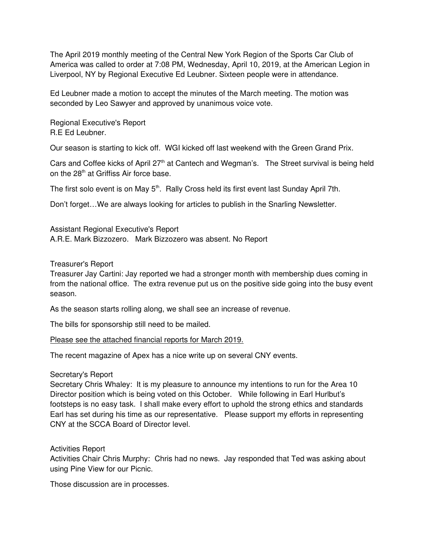The April 2019 monthly meeting of the Central New York Region of the Sports Car Club of America was called to order at 7:08 PM, Wednesday, April 10, 2019, at the American Legion in Liverpool, NY by Regional Executive Ed Leubner. Sixteen people were in attendance.

Ed Leubner made a motion to accept the minutes of the March meeting. The motion was seconded by Leo Sawyer and approved by unanimous voice vote.

Regional Executive's Report R.E Ed Leubner.

Our season is starting to kick off. WGI kicked off last weekend with the Green Grand Prix.

Cars and Coffee kicks of April 27<sup>th</sup> at Cantech and Wegman's. The Street survival is being held on the 28<sup>th</sup> at Griffiss Air force base.

The first solo event is on May 5<sup>th</sup>. Rally Cross held its first event last Sunday April 7th.

Don't forget…We are always looking for articles to publish in the Snarling Newsletter.

Assistant Regional Executive's Report A.R.E. Mark Bizzozero. Mark Bizzozero was absent. No Report

# Treasurer's Report

Treasurer Jay Cartini: Jay reported we had a stronger month with membership dues coming in from the national office. The extra revenue put us on the positive side going into the busy event season.

As the season starts rolling along, we shall see an increase of revenue.

The bills for sponsorship still need to be mailed.

Please see the attached financial reports for March 2019.

The recent magazine of Apex has a nice write up on several CNY events.

# Secretary's Report

Secretary Chris Whaley: It is my pleasure to announce my intentions to run for the Area 10 Director position which is being voted on this October. While following in Earl Hurlbut's footsteps is no easy task. I shall make every effort to uphold the strong ethics and standards Earl has set during his time as our representative. Please support my efforts in representing CNY at the SCCA Board of Director level.

Activities Report

Activities Chair Chris Murphy: Chris had no news. Jay responded that Ted was asking about using Pine View for our Picnic.

Those discussion are in processes.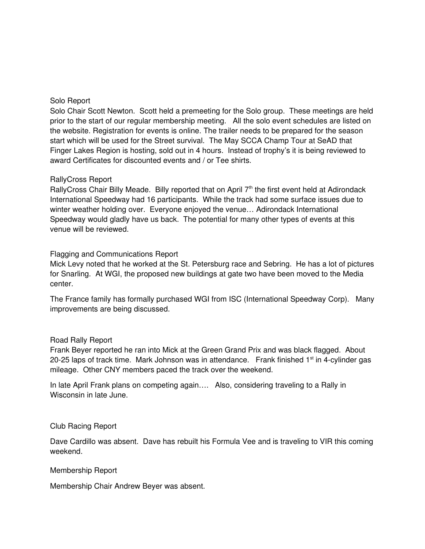### Solo Report

Solo Chair Scott Newton. Scott held a premeeting for the Solo group. These meetings are held prior to the start of our regular membership meeting. All the solo event schedules are listed on the website. Registration for events is online. The trailer needs to be prepared for the season start which will be used for the Street survival. The May SCCA Champ Tour at SeAD that Finger Lakes Region is hosting, sold out in 4 hours. Instead of trophy's it is being reviewed to award Certificates for discounted events and / or Tee shirts.

### RallyCross Report

RallyCross Chair Billy Meade. Billy reported that on April 7<sup>th</sup> the first event held at Adirondack International Speedway had 16 participants. While the track had some surface issues due to winter weather holding over. Everyone enjoyed the venue… Adirondack International Speedway would gladly have us back. The potential for many other types of events at this venue will be reviewed.

## Flagging and Communications Report

Mick Levy noted that he worked at the St. Petersburg race and Sebring. He has a lot of pictures for Snarling. At WGI, the proposed new buildings at gate two have been moved to the Media center.

The France family has formally purchased WGI from ISC (International Speedway Corp). Many improvements are being discussed.

### Road Rally Report

Frank Beyer reported he ran into Mick at the Green Grand Prix and was black flagged. About 20-25 laps of track time. Mark Johnson was in attendance. Frank finished  $1<sup>st</sup>$  in 4-cylinder gas mileage. Other CNY members paced the track over the weekend.

In late April Frank plans on competing again.... Also, considering traveling to a Rally in Wisconsin in late June.

### Club Racing Report

Dave Cardillo was absent. Dave has rebuilt his Formula Vee and is traveling to VIR this coming weekend.

### Membership Report

Membership Chair Andrew Beyer was absent.